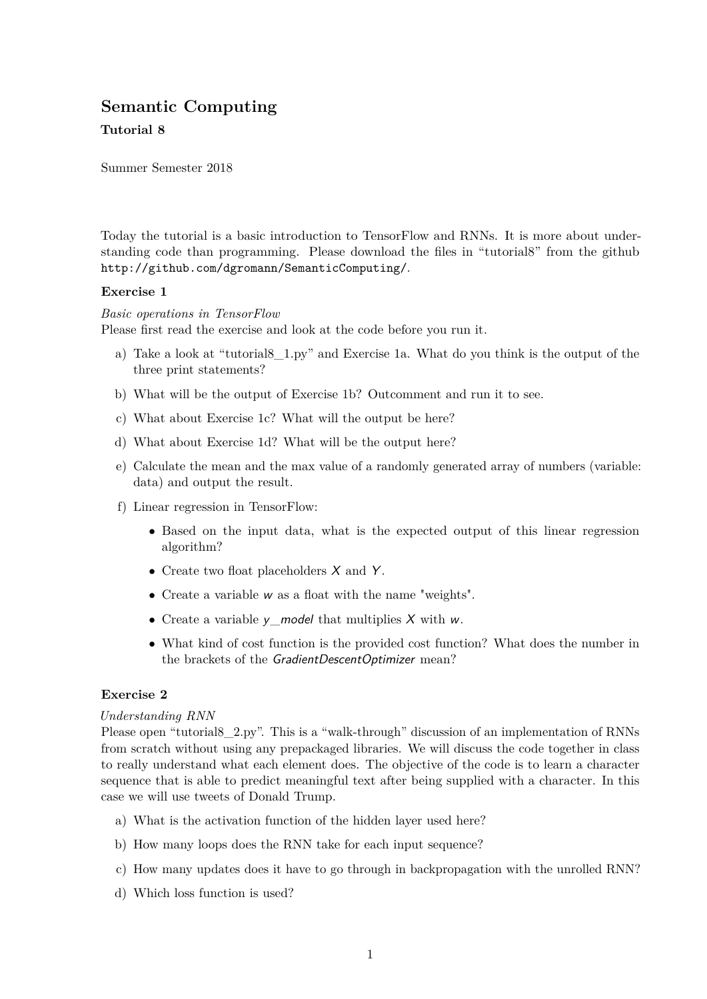# **Semantic Computing**

### **Tutorial 8**

Summer Semester 2018

Today the tutorial is a basic introduction to TensorFlow and RNNs. It is more about understanding code than programming. Please download the files in "tutorial8" from the github http://github.com/dgromann/SemanticComputing/.

#### **Exercise 1**

*Basic operations in TensorFlow* Please first read the exercise and look at the code before you run it.

- a) Take a look at "tutorial8\_1.py" and Exercise 1a. What do you think is the output of the three print statements?
- b) What will be the output of Exercise 1b? Outcomment and run it to see.
- c) What about Exercise 1c? What will the output be here?
- d) What about Exercise 1d? What will be the output here?
- e) Calculate the mean and the max value of a randomly generated array of numbers (variable: data) and output the result.
- f) Linear regression in TensorFlow:
	- Based on the input data, what is the expected output of this linear regression algorithm?
	- Create two float placeholders  $X$  and  $Y$ .
	- Create a variable w as a float with the name "weights".
	- Create a variable  $\nu$  model that multiplies X with w.
	- What kind of cost function is the provided cost function? What does the number in the brackets of the GradientDescentOptimizer mean?

## **Exercise 2**

#### *Understanding RNN*

Please open "tutorial8\_2.py". This is a "walk-through" discussion of an implementation of RNNs from scratch without using any prepackaged libraries. We will discuss the code together in class to really understand what each element does. The objective of the code is to learn a character sequence that is able to predict meaningful text after being supplied with a character. In this case we will use tweets of Donald Trump.

- a) What is the activation function of the hidden layer used here?
- b) How many loops does the RNN take for each input sequence?
- c) How many updates does it have to go through in backpropagation with the unrolled RNN?
- d) Which loss function is used?